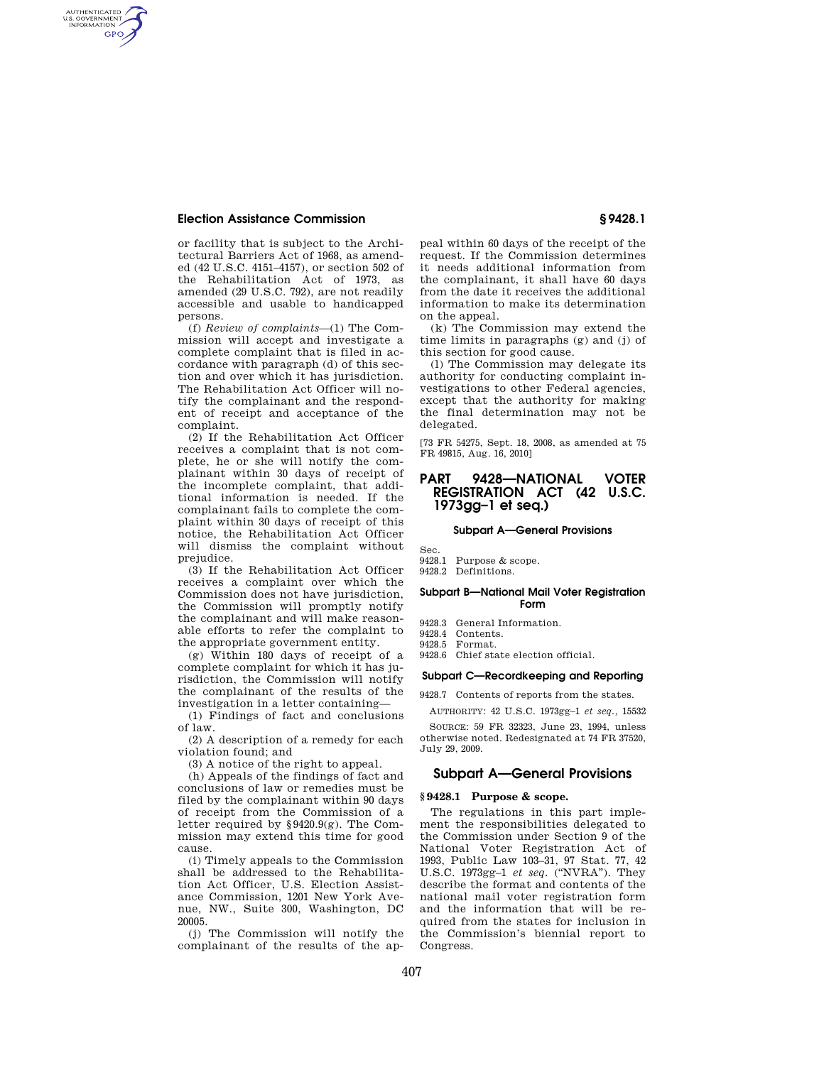### **Election Assistance Commission § 9428.1**

AUTHENTICATED<br>U.S. GOVERNMENT<br>INFORMATION **GPO** 

> or facility that is subject to the Architectural Barriers Act of 1968, as amended (42 U.S.C. 4151–4157), or section 502 of the Rehabilitation Act of 1973, as amended (29 U.S.C. 792), are not readily accessible and usable to handicapped persons.

> (f) *Review of complaints*—(1) The Commission will accept and investigate a complete complaint that is filed in accordance with paragraph (d) of this section and over which it has jurisdiction. The Rehabilitation Act Officer will notify the complainant and the respondent of receipt and acceptance of the complaint.

> (2) If the Rehabilitation Act Officer receives a complaint that is not complete, he or she will notify the complainant within 30 days of receipt of the incomplete complaint, that additional information is needed. If the complainant fails to complete the complaint within 30 days of receipt of this notice, the Rehabilitation Act Officer will dismiss the complaint without prejudice.

> (3) If the Rehabilitation Act Officer receives a complaint over which the Commission does not have jurisdiction, the Commission will promptly notify the complainant and will make reasonable efforts to refer the complaint to the appropriate government entity.

> (g) Within 180 days of receipt of a complete complaint for which it has jurisdiction, the Commission will notify the complainant of the results of the investigation in a letter containing—

> (1) Findings of fact and conclusions of law.

> (2) A description of a remedy for each violation found; and

(3) A notice of the right to appeal.

(h) Appeals of the findings of fact and conclusions of law or remedies must be filed by the complainant within 90 days of receipt from the Commission of a letter required by §9420.9(g). The Commission may extend this time for good cause.

(i) Timely appeals to the Commission shall be addressed to the Rehabilitation Act Officer, U.S. Election Assistance Commission, 1201 New York Avenue, NW., Suite 300, Washington, DC 20005.

(j) The Commission will notify the complainant of the results of the ap-

peal within 60 days of the receipt of the request. If the Commission determines it needs additional information from the complainant, it shall have 60 days from the date it receives the additional information to make its determination on the appeal.

(k) The Commission may extend the time limits in paragraphs (g) and (j) of this section for good cause.

(l) The Commission may delegate its authority for conducting complaint investigations to other Federal agencies, except that the authority for making the final determination may not be delegated.

[73 FR 54275, Sept. 18, 2008, as amended at 75 FR 49815, Aug. 16, 2010]

### **PART 9428—NATIONAL VOTER REGISTRATION ACT (42 U.S.C. 1973gg–1 et seq.)**

#### **Subpart A—General Provisions**

- Sec.
- 9428.1 Purpose & scope.
- 9428.2 Definitions.

#### **Subpart B—National Mail Voter Registration Form**

- 9428.3 General Information.
- 9428.4 Contents.
- 9428.5 Format.
- 9428.6 Chief state election official.

#### **Subpart C—Recordkeeping and Reporting**

9428.7 Contents of reports from the states.

AUTHORITY: 42 U.S.C. 1973gg–1 *et seq.,* 15532

SOURCE: 59 FR 32323, June 23, 1994, unless otherwise noted. Redesignated at 74 FR 37520, July 29, 2009.

### **Subpart A—General Provisions**

#### **§ 9428.1 Purpose & scope.**

The regulations in this part implement the responsibilities delegated to the Commission under Section 9 of the National Voter Registration Act of 1993, Public Law 103–31, 97 Stat. 77, 42 U.S.C. 1973gg–1 *et seq.* (''NVRA''). They describe the format and contents of the national mail voter registration form and the information that will be required from the states for inclusion in the Commission's biennial report to Congress.